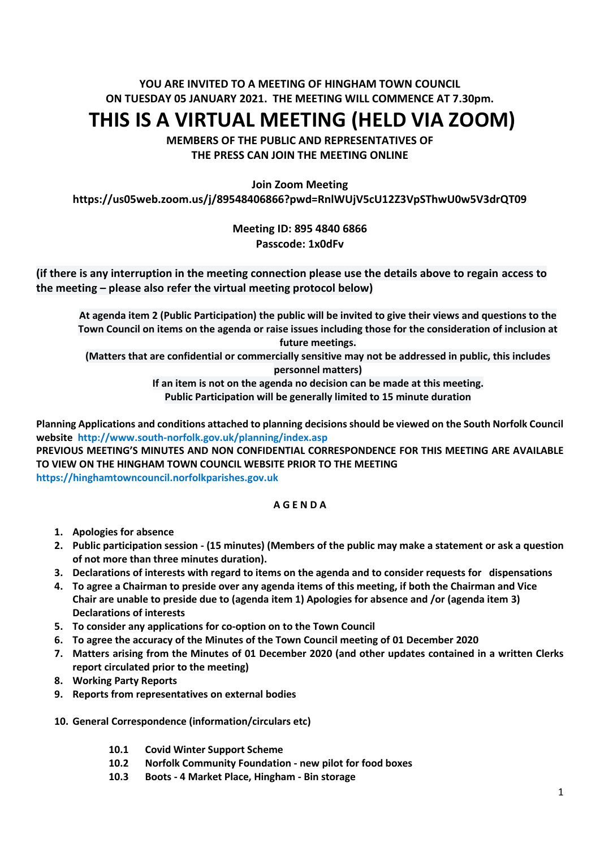## **YOU ARE INVITED TO A MEETING OF HINGHAM TOWN COUNCIL ON TUESDAY 05 JANUARY 2021. THE MEETING WILL COMMENCE AT 7.30pm.**

# **THIS IS A VIRTUAL MEETING (HELD VIA ZOOM)**

**MEMBERS OF THE PUBLIC AND REPRESENTATIVES OF THE PRESS CAN JOIN THE MEETING ONLINE**

**Join Zoom Meeting**

**https://us05web.zoom.us/j/89548406866?pwd=RnlWUjV5cU12Z3VpSThwU0w5V3drQT09**

## **Meeting ID: 895 4840 6866 Passcode: 1x0dFv**

## **(if there is any interruption in the meeting connection please use the details above to regain access to the meeting – please also refer the virtual meeting protocol below)**

**At agenda item 2 (Public Participation) the public will be invited to give their views and questions to the Town Council on items on the agenda or raise issues including those for the consideration of inclusion at future meetings.**

**(Matters that are confidential or commercially sensitive may not be addressed in public, this includes personnel matters)**

**If an item is not on the agenda no decision can be made at this meeting.**

**Public Participation will be generally limited to 15 minute duration**

**Planning Applications and conditions attached to planning decisions should be viewed on the South Norfolk Council website <http://www.south-norfolk.gov.uk/planning/index.asp>**

**PREVIOUS MEETING'S MINUTES AND NON CONFIDENTIAL CORRESPONDENCE FOR THIS MEETING ARE AVAILABLE TO VIEW ON THE HINGHAM TOWN COUNCIL WEBSITE PRIOR TO THE MEETING [https://hinghamtowncouncil.norfolkparishes.gov.uk](https://hinghamtowncouncil.norfolkparishes.gov.uk/)**

#### **A G E N D A**

- **1. Apologies for absence**
- **2. Public participation session - (15 minutes) (Members of the public may make a statement or ask a question of not more than three minutes duration).**
- **3. Declarations of interests with regard to items on the agenda and to consider requests for dispensations**
- **4. To agree a Chairman to preside over any agenda items of this meeting, if both the Chairman and Vice Chair are unable to preside due to (agenda item 1) Apologies for absence and /or (agenda item 3) Declarations of interests**
- **5. To consider any applications for co-option on to the Town Council**
- **6. To agree the accuracy of the Minutes of the Town Council meeting of 01 December 2020**
- **7. Matters arising from the Minutes of 01 December 2020 (and other updates contained in a written Clerks report circulated prior to the meeting)**
- **8. Working Party Reports**
- **9. Reports from representatives on external bodies**
- **10. General Correspondence (information/circulars etc)**
	- **10.1 Covid Winter Support Scheme**
	- **10.2 Norfolk Community Foundation - new pilot for food boxes**
	- **10.3 Boots - 4 Market Place, Hingham - Bin storage**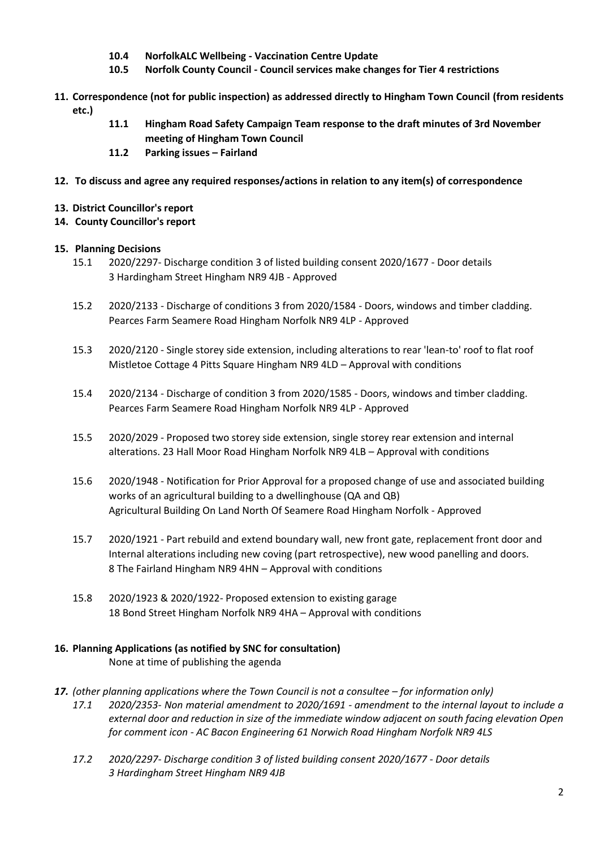- **10.4 NorfolkALC Wellbeing - Vaccination Centre Update**
- **10.5 Norfolk County Council - Council services make changes for Tier 4 restrictions**
- **11. Correspondence (not for public inspection) as addressed directly to Hingham Town Council (from residents etc.)**
	- **11.1 Hingham Road Safety Campaign Team response to the draft minutes of 3rd November meeting of Hingham Town Council**
	- **11.2 Parking issues – Fairland**
- **12. To discuss and agree any required responses/actions in relation to any item(s) of correspondence**
- **13. District Councillor's report**
- **14. County Councillor's report**

#### **15. Planning Decisions**

- 15.1 2020/2297- Discharge condition 3 of listed building consent 2020/1677 Door details 3 Hardingham Street Hingham NR9 4JB - Approved
- 15.2 2020/2133 Discharge of conditions 3 from 2020/1584 Doors, windows and timber cladding. Pearces Farm Seamere Road Hingham Norfolk NR9 4LP - Approved
- 15.3 2020/2120 Single storey side extension, including alterations to rear 'lean-to' roof to flat roof Mistletoe Cottage 4 Pitts Square Hingham NR9 4LD – Approval with conditions
- 15.4 2020/2134 Discharge of condition 3 from 2020/1585 Doors, windows and timber cladding. Pearces Farm Seamere Road Hingham Norfolk NR9 4LP - Approved
- 15.5 2020/2029 Proposed two storey side extension, single storey rear extension and internal alterations. 23 Hall Moor Road Hingham Norfolk NR9 4LB – Approval with conditions
- 15.6 2020/1948 Notification for Prior Approval for a proposed change of use and associated building works of an agricultural building to a dwellinghouse (QA and QB) Agricultural Building On Land North Of Seamere Road Hingham Norfolk - Approved
- 15.7 2020/1921 Part rebuild and extend boundary wall, new front gate, replacement front door and Internal alterations including new coving (part retrospective), new wood panelling and doors. 8 The Fairland Hingham NR9 4HN – Approval with conditions
- 15.8 2020/1923 & 2020/1922- Proposed extension to existing garage 18 Bond Street Hingham Norfolk NR9 4HA – Approval with conditions

#### **16. Planning Applications (as notified by SNC for consultation)** None at time of publishing the agenda

- 17. *(other planning applications where the Town Council is not a consultee for information only)* 
	- *17.1 2020/2353- Non material amendment to 2020/1691 - amendment to the internal layout to include a external door and reduction in size of the immediate window adjacent on south facing elevation Open for comment icon - AC Bacon Engineering 61 Norwich Road Hingham Norfolk NR9 4LS*
	- *17.2 2020/2297- Discharge condition 3 of listed building consent 2020/1677 - Door details 3 Hardingham Street Hingham NR9 4JB*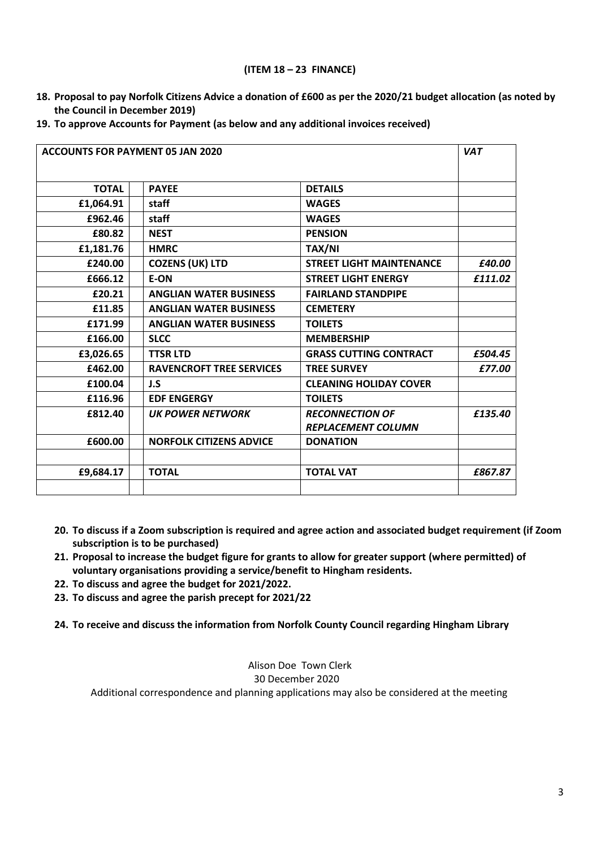#### **(ITEM 18 – 23 FINANCE)**

- **18. Proposal to pay Norfolk Citizens Advice a donation of £600 as per the 2020/21 budget allocation (as noted by the Council in December 2019)**
- **19. To approve Accounts for Payment (as below and any additional invoices received)**

| <b>ACCOUNTS FOR PAYMENT 05 JAN 2020</b> |                                 |                                 | <b>VAT</b> |
|-----------------------------------------|---------------------------------|---------------------------------|------------|
|                                         |                                 |                                 |            |
| <b>TOTAL</b>                            | <b>PAYEE</b>                    | <b>DETAILS</b>                  |            |
| £1,064.91                               | staff                           | <b>WAGES</b>                    |            |
| £962.46                                 | staff                           | <b>WAGES</b>                    |            |
| £80.82                                  | <b>NEST</b>                     | <b>PENSION</b>                  |            |
| £1,181.76                               | <b>HMRC</b>                     | <b>TAX/NI</b>                   |            |
| £240.00                                 | <b>COZENS (UK) LTD</b>          | <b>STREET LIGHT MAINTENANCE</b> | £40.00     |
| £666.12                                 | <b>E-ON</b>                     | <b>STREET LIGHT ENERGY</b>      | £111.02    |
| £20.21                                  | <b>ANGLIAN WATER BUSINESS</b>   | <b>FAIRLAND STANDPIPE</b>       |            |
| £11.85                                  | <b>ANGLIAN WATER BUSINESS</b>   | <b>CEMETERY</b>                 |            |
| £171.99                                 | <b>ANGLIAN WATER BUSINESS</b>   | <b>TOILETS</b>                  |            |
| £166.00                                 | <b>SLCC</b>                     | <b>MEMBERSHIP</b>               |            |
| £3,026.65                               | <b>TTSR LTD</b>                 | <b>GRASS CUTTING CONTRACT</b>   | £504.45    |
| £462.00                                 | <b>RAVENCROFT TREE SERVICES</b> | <b>TREE SURVEY</b>              | £77.00     |
| £100.04                                 | J.S                             | <b>CLEANING HOLIDAY COVER</b>   |            |
| £116.96                                 | <b>EDF ENGERGY</b>              | <b>TOILETS</b>                  |            |
| £812.40                                 | <b>UK POWER NETWORK</b>         | <b>RECONNECTION OF</b>          | £135.40    |
|                                         |                                 | <b>REPLACEMENT COLUMN</b>       |            |
| £600.00                                 | <b>NORFOLK CITIZENS ADVICE</b>  | <b>DONATION</b>                 |            |
| £9,684.17                               | <b>TOTAL</b>                    | <b>TOTAL VAT</b>                | £867.87    |
|                                         |                                 |                                 |            |

- **20. To discuss if a Zoom subscription is required and agree action and associated budget requirement (if Zoom subscription is to be purchased)**
- **21. Proposal to increase the budget figure for grants to allow for greater support (where permitted) of voluntary organisations providing a service/benefit to Hingham residents.**
- **22. To discuss and agree the budget for 2021/2022.**
- **23. To discuss and agree the parish precept for 2021/22**

**24. To receive and discuss the information from Norfolk County Council regarding Hingham Library**

Alison Doe Town Clerk 30 December 2020 Additional correspondence and planning applications may also be considered at the meeting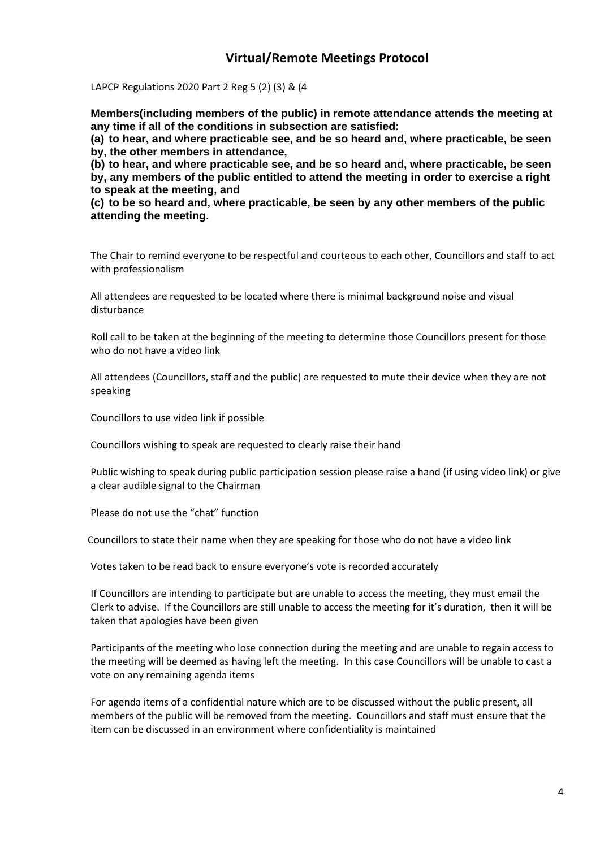## **Virtual/Remote Meetings Protocol**

LAPCP Regulations 2020 Part 2 Reg 5 (2) (3) & (4

**Members(including members of the public) in remote attendance attends the meeting at any time if all of the conditions in subsection are satisfied:**

**(a) to hear, and where practicable see, and be so heard and, where practicable, be seen by, the other members in attendance,**

**(b) to hear, and where practicable see, and be so heard and, where practicable, be seen by, any members of the public entitled to attend the meeting in order to exercise a right to speak at the meeting, and**

**(c) to be so heard and, where practicable, be seen by any other members of the public attending the meeting.**

The Chair to remind everyone to be respectful and courteous to each other, Councillors and staff to act with professionalism

All attendees are requested to be located where there is minimal background noise and visual disturbance

Roll call to be taken at the beginning of the meeting to determine those Councillors present for those who do not have a video link

All attendees (Councillors, staff and the public) are requested to mute their device when they are not speaking

Councillors to use video link if possible

Councillors wishing to speak are requested to clearly raise their hand

Public wishing to speak during public participation session please raise a hand (if using video link) or give a clear audible signal to the Chairman

Please do not use the "chat" function

Councillors to state their name when they are speaking for those who do not have a video link

Votes taken to be read back to ensure everyone's vote is recorded accurately

If Councillors are intending to participate but are unable to access the meeting, they must email the Clerk to advise. If the Councillors are still unable to access the meeting for it's duration, then it will be taken that apologies have been given

Participants of the meeting who lose connection during the meeting and are unable to regain access to the meeting will be deemed as having left the meeting. In this case Councillors will be unable to cast a vote on any remaining agenda items

For agenda items of a confidential nature which are to be discussed without the public present, all members of the public will be removed from the meeting. Councillors and staff must ensure that the item can be discussed in an environment where confidentiality is maintained